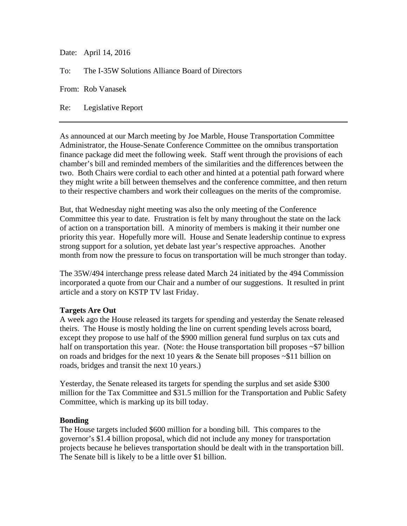Date: April 14, 2016

To: The I-35W Solutions Alliance Board of Directors

From: Rob Vanasek

Re: Legislative Report

As announced at our March meeting by Joe Marble, House Transportation Committee Administrator, the House-Senate Conference Committee on the omnibus transportation finance package did meet the following week. Staff went through the provisions of each chamber's bill and reminded members of the similarities and the differences between the two. Both Chairs were cordial to each other and hinted at a potential path forward where they might write a bill between themselves and the conference committee, and then return to their respective chambers and work their colleagues on the merits of the compromise.

But, that Wednesday night meeting was also the only meeting of the Conference Committee this year to date. Frustration is felt by many throughout the state on the lack of action on a transportation bill. A minority of members is making it their number one priority this year. Hopefully more will. House and Senate leadership continue to express strong support for a solution, yet debate last year's respective approaches. Another month from now the pressure to focus on transportation will be much stronger than today.

The 35W/494 interchange press release dated March 24 initiated by the 494 Commission incorporated a quote from our Chair and a number of our suggestions. It resulted in print article and a story on KSTP TV last Friday.

## **Targets Are Out**

A week ago the House released its targets for spending and yesterday the Senate released theirs. The House is mostly holding the line on current spending levels across board, except they propose to use half of the \$900 million general fund surplus on tax cuts and half on transportation this year. (Note: the House transportation bill proposes ~\$7 billion on roads and bridges for the next 10 years  $\&$  the Senate bill proposes  $\sim $11$  billion on roads, bridges and transit the next 10 years.)

Yesterday, the Senate released its targets for spending the surplus and set aside \$300 million for the Tax Committee and \$31.5 million for the Transportation and Public Safety Committee, which is marking up its bill today.

## **Bonding**

The House targets included \$600 million for a bonding bill. This compares to the governor's \$1.4 billion proposal, which did not include any money for transportation projects because he believes transportation should be dealt with in the transportation bill. The Senate bill is likely to be a little over \$1 billion.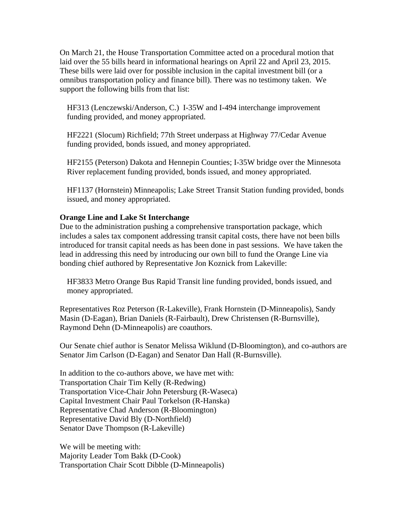On March 21, the House Transportation Committee acted on a procedural motion that laid over the 55 bills heard in informational hearings on April 22 and April 23, 2015. These bills were laid over for possible inclusion in the capital investment bill (or a omnibus transportation policy and finance bill). There was no testimony taken. We support the following bills from that list:

HF313 (Lenczewski/Anderson, C.) I-35W and I-494 interchange improvement funding provided, and money appropriated.

HF2221 (Slocum) Richfield; 77th Street underpass at Highway 77/Cedar Avenue funding provided, bonds issued, and money appropriated.

HF2155 (Peterson) Dakota and Hennepin Counties; I-35W bridge over the Minnesota River replacement funding provided, bonds issued, and money appropriated.

HF1137 (Hornstein) Minneapolis; Lake Street Transit Station funding provided, bonds issued, and money appropriated.

## **Orange Line and Lake St Interchange**

Due to the administration pushing a comprehensive transportation package, which includes a sales tax component addressing transit capital costs, there have not been bills introduced for transit capital needs as has been done in past sessions. We have taken the lead in addressing this need by introducing our own bill to fund the Orange Line via bonding chief authored by Representative Jon Koznick from Lakeville:

HF3833 Metro Orange Bus Rapid Transit line funding provided, bonds issued, and money appropriated.

Representatives Roz Peterson (R-Lakeville), Frank Hornstein (D-Minneapolis), Sandy Masin (D-Eagan), Brian Daniels (R-Fairbault), Drew Christensen (R-Burnsville), Raymond Dehn (D-Minneapolis) are coauthors.

Our Senate chief author is Senator Melissa Wiklund (D-Bloomington), and co-authors are Senator Jim Carlson (D-Eagan) and Senator Dan Hall (R-Burnsville).

In addition to the co-authors above, we have met with: Transportation Chair Tim Kelly (R-Redwing) Transportation Vice-Chair John Petersburg (R-Waseca) Capital Investment Chair Paul Torkelson (R-Hanska) Representative Chad Anderson (R-Bloomington) Representative David Bly (D-Northfield) Senator Dave Thompson (R-Lakeville)

We will be meeting with: Majority Leader Tom Bakk (D-Cook) Transportation Chair Scott Dibble (D-Minneapolis)